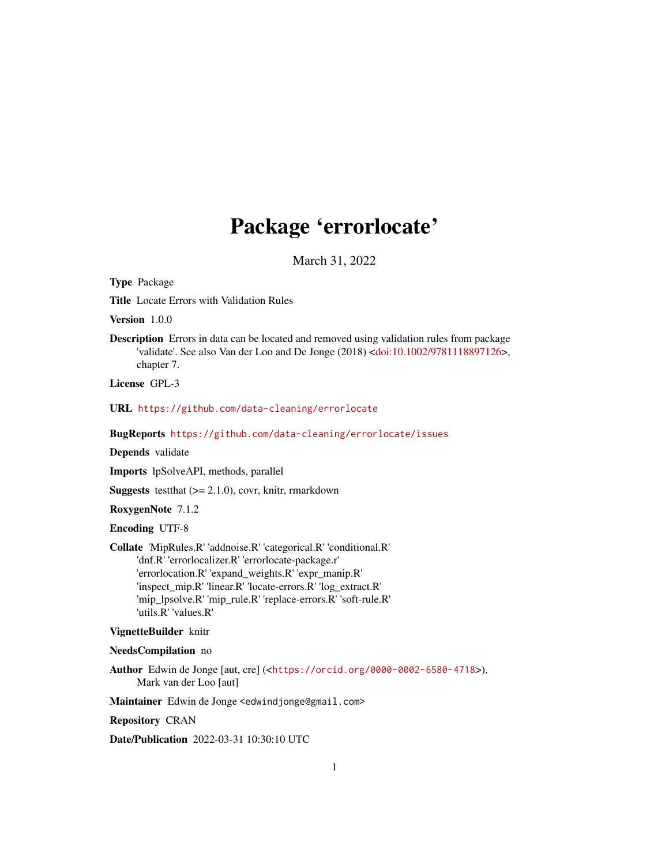## Package 'errorlocate'

March 31, 2022

<span id="page-0-0"></span>Type Package

Title Locate Errors with Validation Rules

Version 1.0.0

Description Errors in data can be located and removed using validation rules from package 'validate'. See also Van der Loo and De Jonge (2018) [<doi:10.1002/9781118897126>](https://doi.org/10.1002/9781118897126), chapter 7.

License GPL-3

URL <https://github.com/data-cleaning/errorlocate>

BugReports <https://github.com/data-cleaning/errorlocate/issues>

Depends validate

Imports lpSolveAPI, methods, parallel

**Suggests** test that  $(>= 2.1.0)$ , covr, knitr, rmarkdown

RoxygenNote 7.1.2

Encoding UTF-8

Collate 'MipRules.R' 'addnoise.R' 'categorical.R' 'conditional.R' 'dnf.R' 'errorlocalizer.R' 'errorlocate-package.r' 'errorlocation.R' 'expand\_weights.R' 'expr\_manip.R' 'inspect\_mip.R' 'linear.R' 'locate-errors.R' 'log\_extract.R' 'mip\_lpsolve.R' 'mip\_rule.R' 'replace-errors.R' 'soft-rule.R' 'utils.R' 'values.R'

#### VignetteBuilder knitr

#### NeedsCompilation no

Author Edwin de Jonge [aut, cre] (<<https://orcid.org/0000-0002-6580-4718>>), Mark van der Loo [aut]

Maintainer Edwin de Jonge <edwindjonge@gmail.com>

Repository CRAN

Date/Publication 2022-03-31 10:30:10 UTC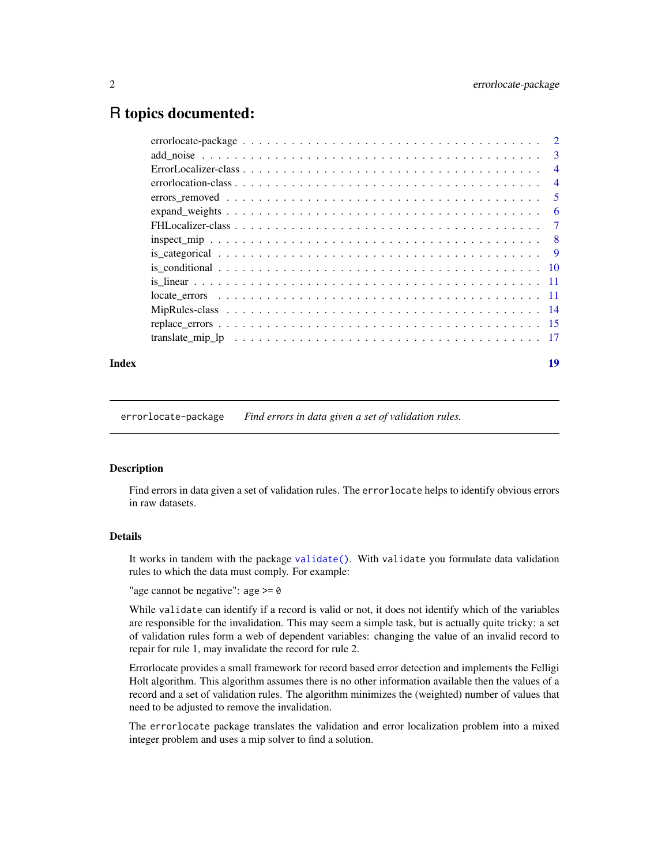## <span id="page-1-0"></span>R topics documented:

| -3             |
|----------------|
| $\overline{4}$ |
| $\overline{4}$ |
| -5             |
| 6              |
| $\overline{7}$ |
| - 8            |
|                |
|                |
|                |
|                |
|                |
|                |
|                |
|                |

## **Index** 2008 **[19](#page-18-0)99**

errorlocate-package *Find errors in data given a set of validation rules.*

## <span id="page-1-1"></span>Description

Find errors in data given a set of validation rules. The errorlocate helps to identify obvious errors in raw datasets.

## Details

It works in tandem with the package [validate\(\)](#page-0-0). With validate you formulate data validation rules to which the data must comply. For example:

"age cannot be negative": age  $> = 0$ 

While validate can identify if a record is valid or not, it does not identify which of the variables are responsible for the invalidation. This may seem a simple task, but is actually quite tricky: a set of validation rules form a web of dependent variables: changing the value of an invalid record to repair for rule 1, may invalidate the record for rule 2.

Errorlocate provides a small framework for record based error detection and implements the Felligi Holt algorithm. This algorithm assumes there is no other information available then the values of a record and a set of validation rules. The algorithm minimizes the (weighted) number of values that need to be adjusted to remove the invalidation.

The errorlocate package translates the validation and error localization problem into a mixed integer problem and uses a mip solver to find a solution.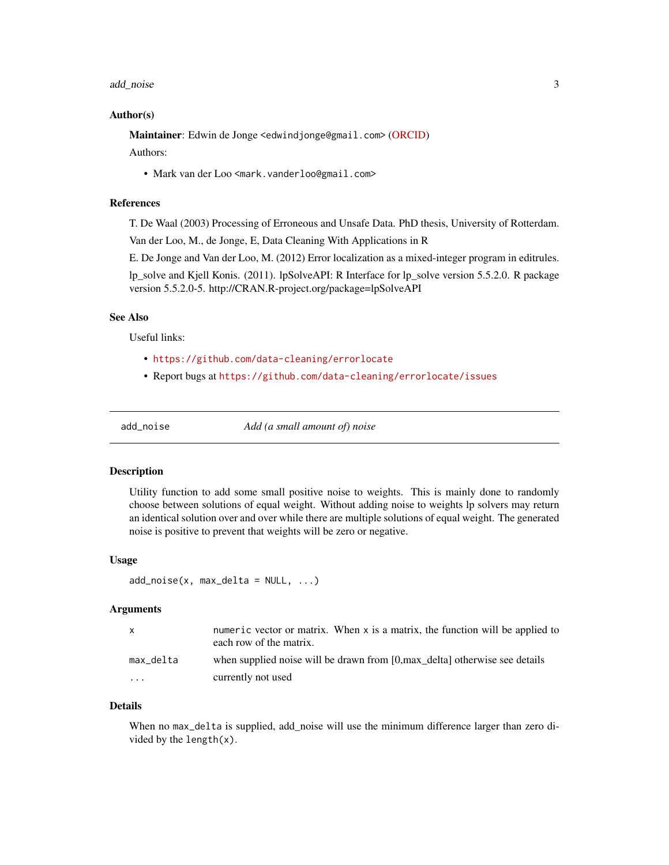#### <span id="page-2-0"></span>add\_noise 3

## Author(s)

Maintainer: Edwin de Jonge <edwindjonge@gmail.com> [\(ORCID\)](https://orcid.org/0000-0002-6580-4718)

Authors:

• Mark van der Loo <mark.vanderloo@gmail.com>

#### References

T. De Waal (2003) Processing of Erroneous and Unsafe Data. PhD thesis, University of Rotterdam.

Van der Loo, M., de Jonge, E, Data Cleaning With Applications in R

E. De Jonge and Van der Loo, M. (2012) Error localization as a mixed-integer program in editrules.

lp\_solve and Kjell Konis. (2011). lpSolveAPI: R Interface for lp\_solve version 5.5.2.0. R package version 5.5.2.0-5. http://CRAN.R-project.org/package=lpSolveAPI

## See Also

Useful links:

- <https://github.com/data-cleaning/errorlocate>
- Report bugs at <https://github.com/data-cleaning/errorlocate/issues>

add\_noise *Add (a small amount of) noise*

#### Description

Utility function to add some small positive noise to weights. This is mainly done to randomly choose between solutions of equal weight. Without adding noise to weights lp solvers may return an identical solution over and over while there are multiple solutions of equal weight. The generated noise is positive to prevent that weights will be zero or negative.

## Usage

```
add\_noise(x, max\_delta = NULL, ...)
```
#### Arguments

| X.                      | numeric vector or matrix. When x is a matrix, the function will be applied to<br>each row of the matrix. |
|-------------------------|----------------------------------------------------------------------------------------------------------|
| max delta               | when supplied noise will be drawn from [0, max delta] otherwise see details                              |
| $\cdot$ $\cdot$ $\cdot$ | currently not used                                                                                       |

#### Details

When no max\_delta is supplied, add\_noise will use the minimum difference larger than zero divided by the length(x).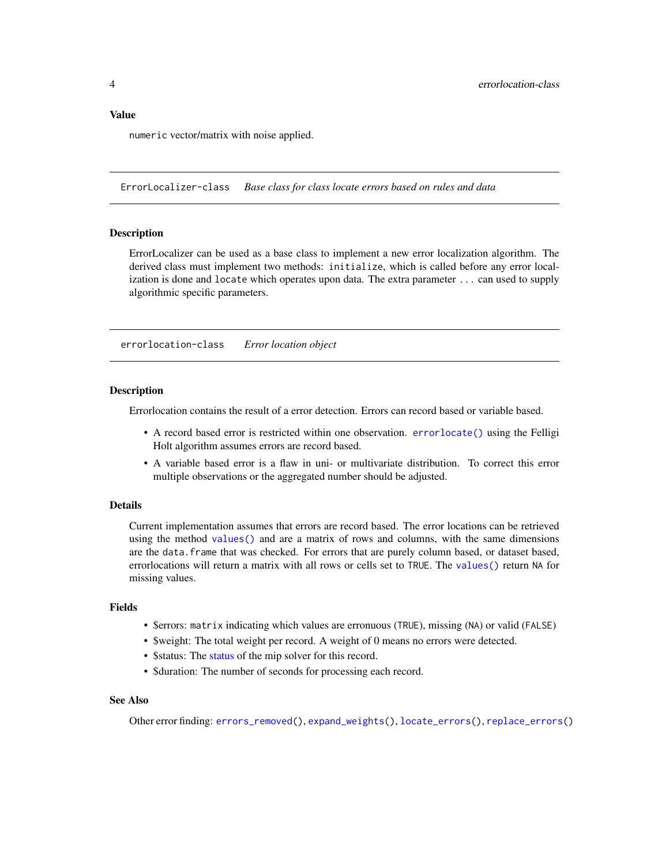#### <span id="page-3-0"></span>Value

numeric vector/matrix with noise applied.

ErrorLocalizer-class *Base class for class locate errors based on rules and data*

#### Description

ErrorLocalizer can be used as a base class to implement a new error localization algorithm. The derived class must implement two methods: initialize, which is called before any error localization is done and locate which operates upon data. The extra parameter ... can used to supply algorithmic specific parameters.

<span id="page-3-1"></span>errorlocation-class *Error location object*

## Description

Errorlocation contains the result of a error detection. Errors can record based or variable based.

- A record based error is restricted within one observation. [errorlocate\(\)](#page-1-1) using the Felligi Holt algorithm assumes errors are record based.
- A variable based error is a flaw in uni- or multivariate distribution. To correct this error multiple observations or the aggregated number should be adjusted.

## Details

Current implementation assumes that errors are record based. The error locations can be retrieved using the method [values\(\)](#page-0-0) and are a matrix of rows and columns, with the same dimensions are the data.frame that was checked. For errors that are purely column based, or dataset based, errorlocations will return a matrix with all rows or cells set to TRUE. The [values\(\)](#page-0-0) return NA for missing values.

## Fields

- \$errors: matrix indicating which values are erronuous (TRUE), missing (NA) or valid (FALSE)
- \$weight: The total weight per record. A weight of 0 means no errors were detected.
- \$[status](#page-0-0): The status of the mip solver for this record.
- \$duration: The number of seconds for processing each record.

## See Also

Other error finding: [errors\\_removed\(](#page-4-1)), [expand\\_weights\(](#page-5-1)), [locate\\_errors\(](#page-10-1)), [replace\\_errors\(](#page-14-1))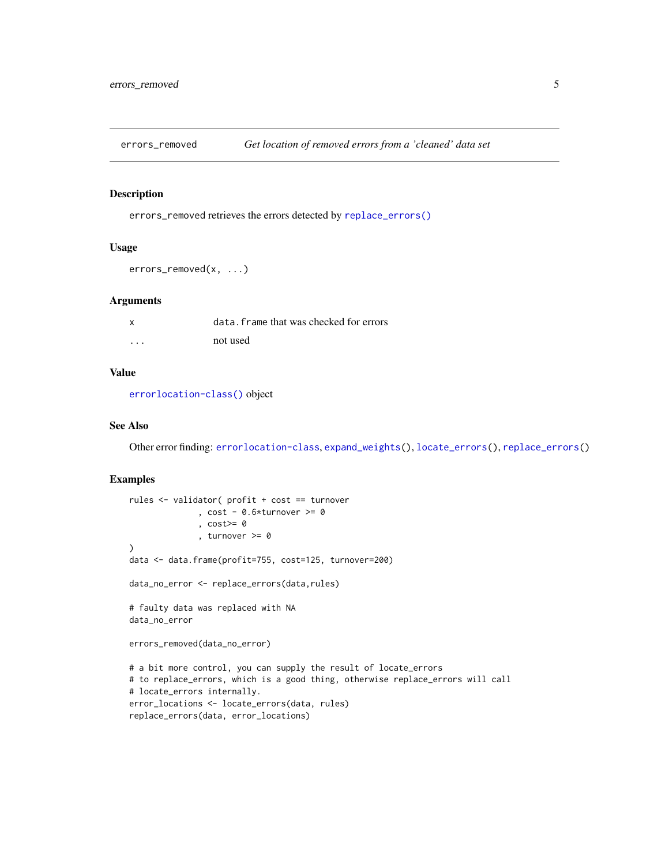<span id="page-4-1"></span><span id="page-4-0"></span>errors\_removed *Get location of removed errors from a 'cleaned' data set*

## Description

errors\_removed retrieves the errors detected by [replace\\_errors\(\)](#page-14-1)

#### Usage

```
errors_removed(x, ...)
```
## Arguments

| $\boldsymbol{\mathsf{x}}$ | data. frame that was checked for errors |
|---------------------------|-----------------------------------------|
| .                         | not used                                |

## Value

[errorlocation-class\(\)](#page-3-1) object

## See Also

Other error finding: [errorlocation-class](#page-3-1), [expand\\_weights\(](#page-5-1)), [locate\\_errors\(](#page-10-1)), [replace\\_errors\(](#page-14-1))

#### Examples

```
rules <- validator( profit + cost == turnover
              , cost - 0.6*turnover \ge 0, cost>= 0
              , turnover >= 0
)
data <- data.frame(profit=755, cost=125, turnover=200)
data_no_error <- replace_errors(data,rules)
# faulty data was replaced with NA
data_no_error
errors_removed(data_no_error)
# a bit more control, you can supply the result of locate_errors
# to replace_errors, which is a good thing, otherwise replace_errors will call
# locate_errors internally.
error_locations <- locate_errors(data, rules)
replace_errors(data, error_locations)
```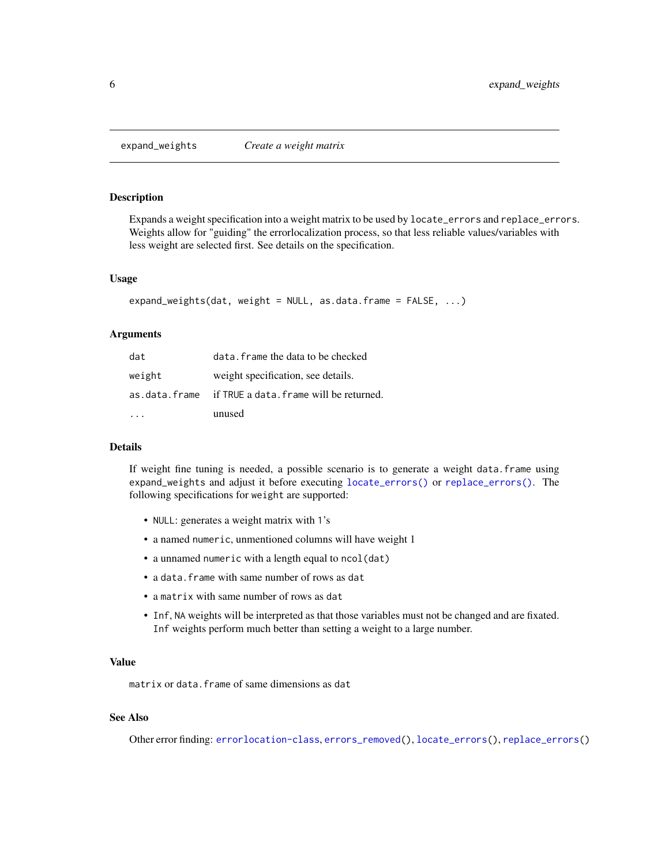<span id="page-5-1"></span><span id="page-5-0"></span>

## Description

Expands a weight specification into a weight matrix to be used by locate\_errors and replace\_errors. Weights allow for "guiding" the errorlocalization process, so that less reliable values/variables with less weight are selected first. See details on the specification.

#### Usage

```
expand_weights(dat, weight = NULL, as.data.frame = FALSE, ...)
```
#### Arguments

| dat    | data. frame the data to be checked                   |
|--------|------------------------------------------------------|
| weight | weight specification, see details.                   |
|        | as data frame if TRUE a data frame will be returned. |
|        | unused                                               |

#### Details

If weight fine tuning is needed, a possible scenario is to generate a weight data.frame using expand\_weights and adjust it before executing [locate\\_errors\(\)](#page-10-1) or [replace\\_errors\(\)](#page-14-1). The following specifications for weight are supported:

- NULL: generates a weight matrix with 1's
- a named numeric, unmentioned columns will have weight 1
- a unnamed numeric with a length equal to ncol(dat)
- a data.frame with same number of rows as dat
- a matrix with same number of rows as dat
- Inf, NA weights will be interpreted as that those variables must not be changed and are fixated. Inf weights perform much better than setting a weight to a large number.

#### Value

matrix or data.frame of same dimensions as dat

## See Also

Other error finding: [errorlocation-class](#page-3-1), [errors\\_removed\(](#page-4-1)), [locate\\_errors\(](#page-10-1)), [replace\\_errors\(](#page-14-1))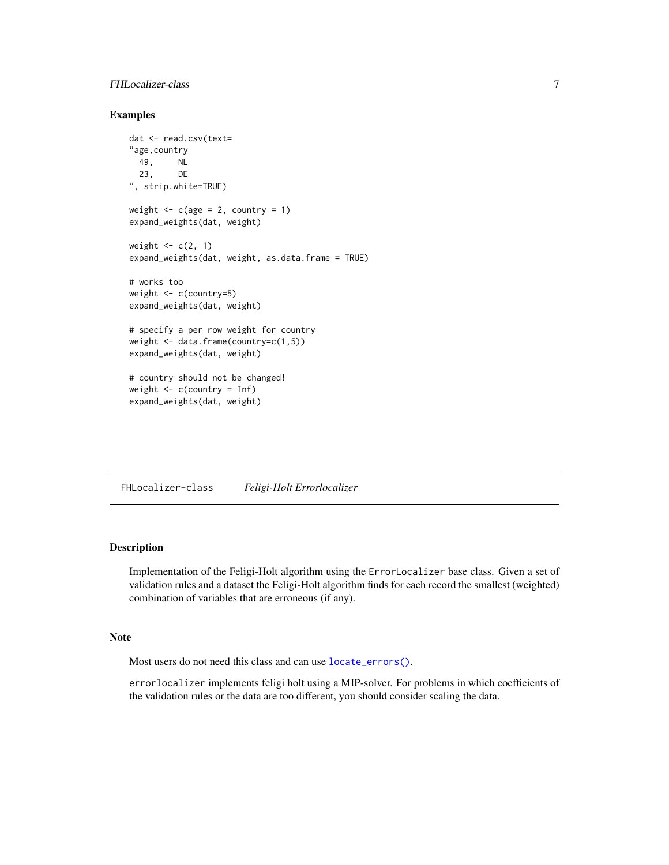## <span id="page-6-0"></span>FHLocalizer-class 7

## Examples

```
dat <- read.csv(text=
"age,country
 49, NL<br>23. DE
 23,", strip.white=TRUE)
weight \leq c(age = 2, country = 1)
expand_weights(dat, weight)
weight \leftarrow c(2, 1)
expand_weights(dat, weight, as.data.frame = TRUE)
# works too
weight <- c(country=5)
expand_weights(dat, weight)
# specify a per row weight for country
weight <- data.frame(country=c(1,5))
expand_weights(dat, weight)
# country should not be changed!
weight \leq c(country = Inf)
expand_weights(dat, weight)
```
FHLocalizer-class *Feligi-Holt Errorlocalizer*

## Description

Implementation of the Feligi-Holt algorithm using the ErrorLocalizer base class. Given a set of validation rules and a dataset the Feligi-Holt algorithm finds for each record the smallest (weighted) combination of variables that are erroneous (if any).

## Note

Most users do not need this class and can use [locate\\_errors\(\)](#page-10-1).

errorlocalizer implements feligi holt using a MIP-solver. For problems in which coefficients of the validation rules or the data are too different, you should consider scaling the data.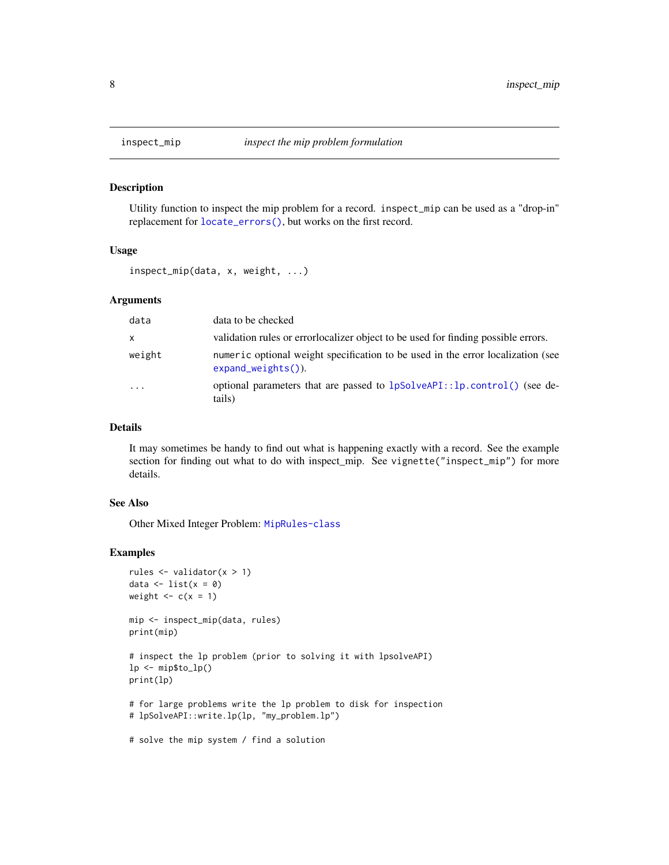<span id="page-7-1"></span><span id="page-7-0"></span>

## Description

Utility function to inspect the mip problem for a record. inspect\_mip can be used as a "drop-in" replacement for [locate\\_errors\(\)](#page-10-1), but works on the first record.

#### Usage

inspect\_mip(data, x, weight, ...)

## Arguments

| data     | data to be checked                                                                                        |
|----------|-----------------------------------------------------------------------------------------------------------|
| X        | validation rules or error localizer object to be used for finding possible errors.                        |
| weight   | numeric optional weight specification to be used in the error localization (see<br>$expand\_weights()$ ). |
| $\cdots$ | optional parameters that are passed to lpSolveAPI::lp.control() (see de-<br>tails)                        |

## Details

It may sometimes be handy to find out what is happening exactly with a record. See the example section for finding out what to do with inspect\_mip. See vignette("inspect\_mip") for more details.

## See Also

Other Mixed Integer Problem: [MipRules-class](#page-13-1)

#### Examples

```
rules <- validator(x > 1)
data \leftarrow list(x = 0)
weight \leq -c(x = 1)
```
mip <- inspect\_mip(data, rules) print(mip)

# inspect the lp problem (prior to solving it with lpsolveAPI)  $lp \leftarrow mp$to_l(p()$ print(lp)

# for large problems write the lp problem to disk for inspection # lpSolveAPI::write.lp(lp, "my\_problem.lp")

# solve the mip system / find a solution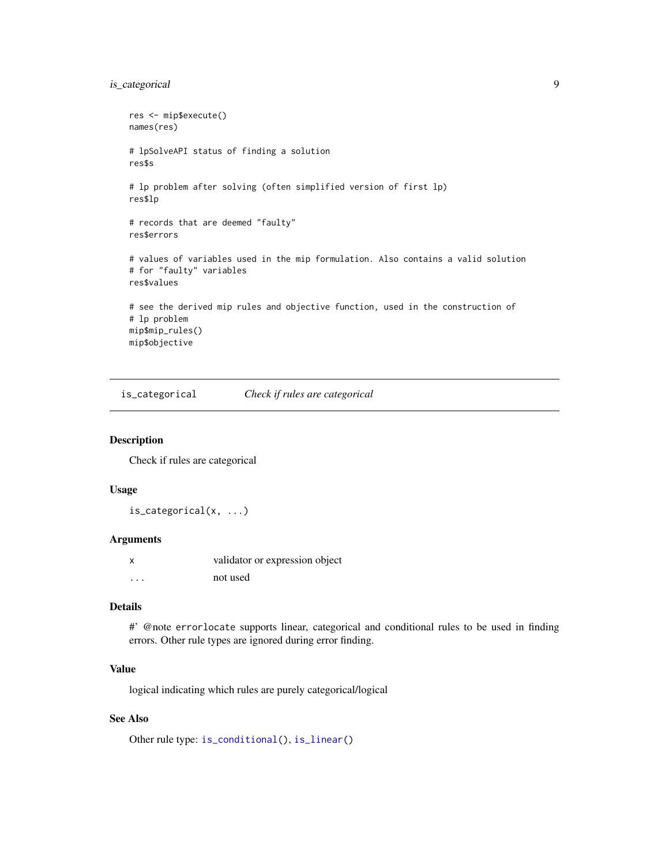## <span id="page-8-0"></span>is\_categorical 9

```
res <- mip$execute()
names(res)
# lpSolveAPI status of finding a solution
res$s
# lp problem after solving (often simplified version of first lp)
res$lp
# records that are deemed "faulty"
res$errors
# values of variables used in the mip formulation. Also contains a valid solution
# for "faulty" variables
res$values
# see the derived mip rules and objective function, used in the construction of
# lp problem
mip$mip_rules()
mip$objective
```
<span id="page-8-1"></span>is\_categorical *Check if rules are categorical*

#### Description

Check if rules are categorical

#### Usage

is\_categorical(x, ...)

## Arguments

|   | validator or expression object |
|---|--------------------------------|
| . | not used                       |

## Details

#' @note errorlocate supports linear, categorical and conditional rules to be used in finding errors. Other rule types are ignored during error finding.

## Value

logical indicating which rules are purely categorical/logical

## See Also

Other rule type: [is\\_conditional\(](#page-9-1)), [is\\_linear\(](#page-10-2))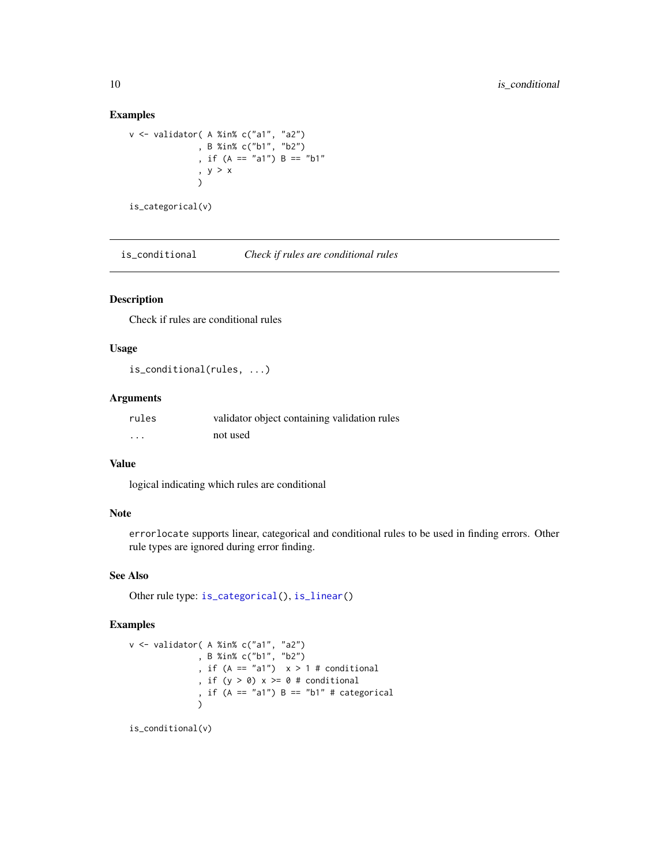## Examples

```
v <- validator( A %in% c("a1", "a2")
              , B %in% c("b1", "b2")
              , if (A == "a1") B == "b1"
              , y > x
              \lambdais_categorical(v)
```
<span id="page-9-1"></span>is\_conditional *Check if rules are conditional rules*

## Description

Check if rules are conditional rules

#### Usage

is\_conditional(rules, ...)

## Arguments

| rules    | validator object containing validation rules |
|----------|----------------------------------------------|
| $\cdots$ | not used                                     |

#### Value

logical indicating which rules are conditional

#### Note

errorlocate supports linear, categorical and conditional rules to be used in finding errors. Other rule types are ignored during error finding.

## See Also

Other rule type: [is\\_categorical\(](#page-8-1)), [is\\_linear\(](#page-10-2))

## Examples

```
v <- validator( A %in% c("a1", "a2")
             , B %in% c("b1", "b2")
              , if (A == 'a1") x > 1 # conditional
              , if (y > 0) x \ge 0 # conditional
              , if (A == "a1") B == "b1" # categorical
              )
```
is\_conditional(v)

<span id="page-9-0"></span>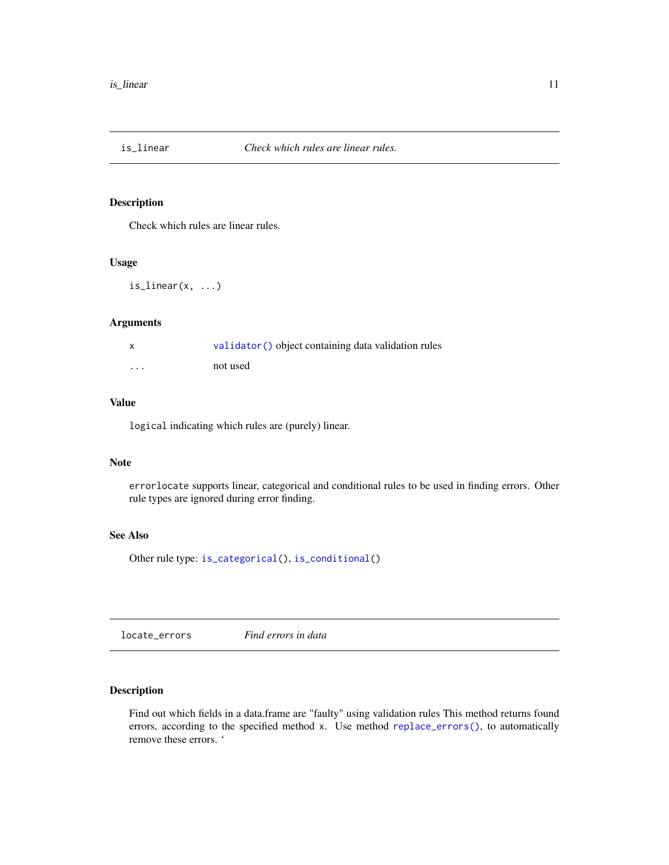<span id="page-10-2"></span><span id="page-10-0"></span>

## Description

Check which rules are linear rules.

## Usage

 $is$ <sup>linear(x, ...)</sup>

#### Arguments

| $\boldsymbol{\mathsf{x}}$ | validator () object containing data validation rules |
|---------------------------|------------------------------------------------------|
| $\cdots$                  | not used                                             |

## Value

logical indicating which rules are (purely) linear.

## Note

errorlocate supports linear, categorical and conditional rules to be used in finding errors. Other rule types are ignored during error finding.

## See Also

Other rule type: [is\\_categorical\(](#page-8-1)), [is\\_conditional\(](#page-9-1))

<span id="page-10-1"></span>locate\_errors *Find errors in data*

## Description

Find out which fields in a data.frame are "faulty" using validation rules This method returns found errors, according to the specified method x. Use method [replace\\_errors\(\)](#page-14-1), to automatically remove these errors. '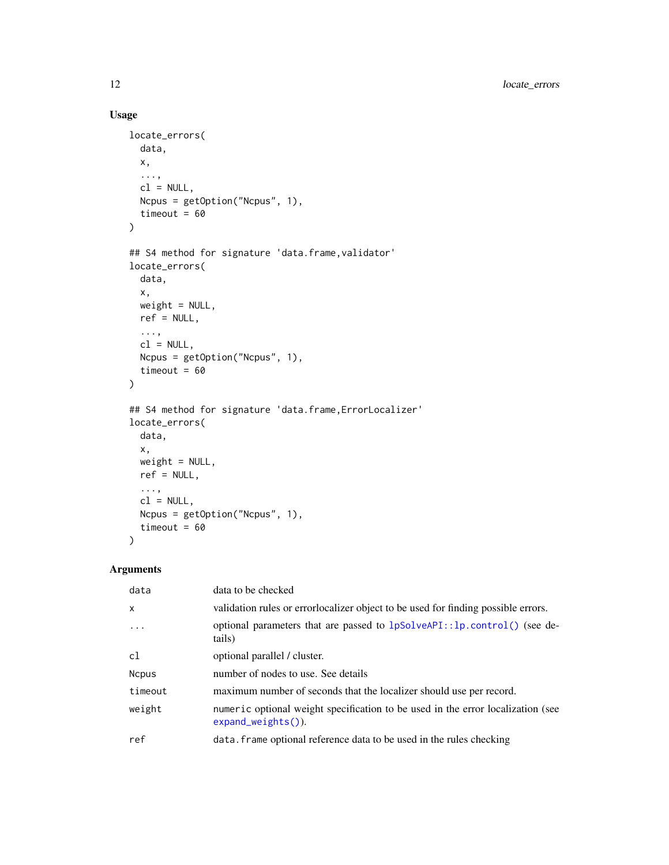## Usage

```
locate_errors(
 data,
 x,
  ...,
 cl = NULL,Ncpus = getOption("Ncpus", 1),
 timeout = 60)
## S4 method for signature 'data.frame, validator'
locate_errors(
 data,
 x,
 weight = NULL,ref = NULL,
 ...,
 cl = NULL,Ncpus = getOption("Ncpus", 1),
 timeout = 60)
## S4 method for signature 'data.frame, ErrorLocalizer'
locate_errors(
 data,
 x,
 weight = NULL,ref = NULL,
  ...,
 cl = NULL,Ncpus = getOption("Ncpus", 1),
 timeout = 60
)
```
## Arguments

| data         | data to be checked                                                                                        |
|--------------|-----------------------------------------------------------------------------------------------------------|
| $\mathsf{x}$ | validation rules or errorlocalizer object to be used for finding possible errors.                         |
| $\ddots$     | optional parameters that are passed to 1pSolveAPI::lp.control() (see de-<br>tails)                        |
| c1           | optional parallel / cluster.                                                                              |
| <b>Ncpus</b> | number of nodes to use. See details                                                                       |
| timeout      | maximum number of seconds that the localizer should use per record.                                       |
| weight       | numeric optional weight specification to be used in the error localization (see<br>$expand\_weights()$ ). |
| ref          | data. frame optional reference data to be used in the rules checking                                      |

<span id="page-11-0"></span>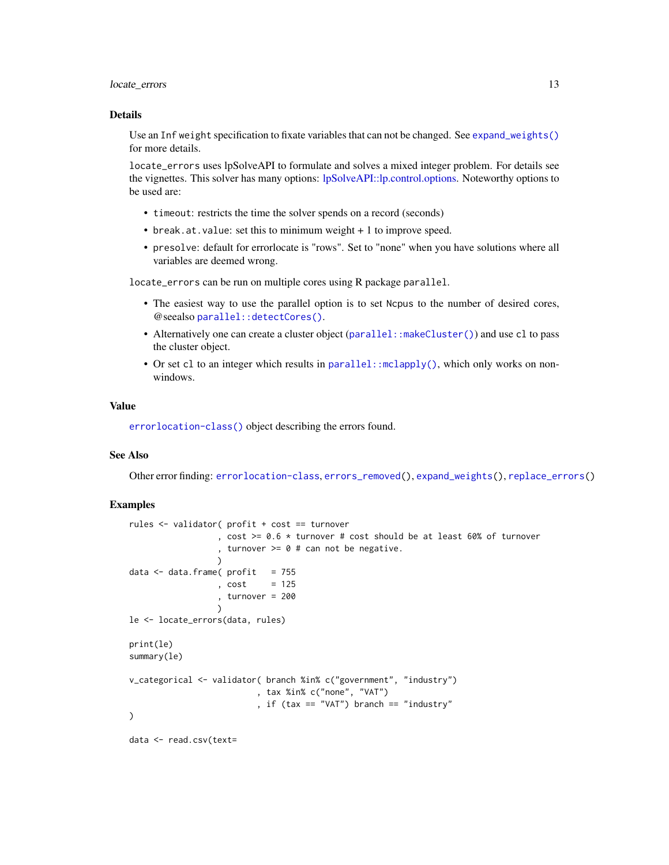## <span id="page-12-0"></span>locate\_errors 13

#### Details

Use an Inf weight specification to fixate variables that can not be changed. See [expand\\_weights\(\)](#page-5-1) for more details.

locate\_errors uses lpSolveAPI to formulate and solves a mixed integer problem. For details see the vignettes. This solver has many options: [lpSolveAPI::lp.control.options.](#page-0-0) Noteworthy options to be used are:

- timeout: restricts the time the solver spends on a record (seconds)
- break.at.value: set this to minimum weight + 1 to improve speed.
- presolve: default for errorlocate is "rows". Set to "none" when you have solutions where all variables are deemed wrong.

locate\_errors can be run on multiple cores using R package parallel.

- The easiest way to use the parallel option is to set Ncpus to the number of desired cores, @seealso [parallel::detectCores\(\)](#page-0-0).
- Alternatively one can create a cluster object (parallel: : makeCluster()) and use cl to pass the cluster object.
- Or set cl to an integer which results in parallel: : mclapply(), which only works on nonwindows.

#### Value

[errorlocation-class\(\)](#page-3-1) object describing the errors found.

## See Also

Other error finding: [errorlocation-class](#page-3-1), [errors\\_removed\(](#page-4-1)), [expand\\_weights\(](#page-5-1)), [replace\\_errors\(](#page-14-1))

## Examples

```
rules <- validator( profit + cost == turnover
                  , cost >= 0.6 * turnover # cost should be at least 60% of turnover
                  , turnover >= 0 # can not be negative.
                  )
data \leq data.frame( profit = 755
                  , cost = 125, turnover = 200
                  \lambdale <- locate_errors(data, rules)
print(le)
summary(le)
v_categorical <- validator( branch %in% c("government", "industry")
                          , tax %in% c("none", "VAT")
                          , if (tax == "VAT") branch == "industry"
)
data <- read.csv(text=
```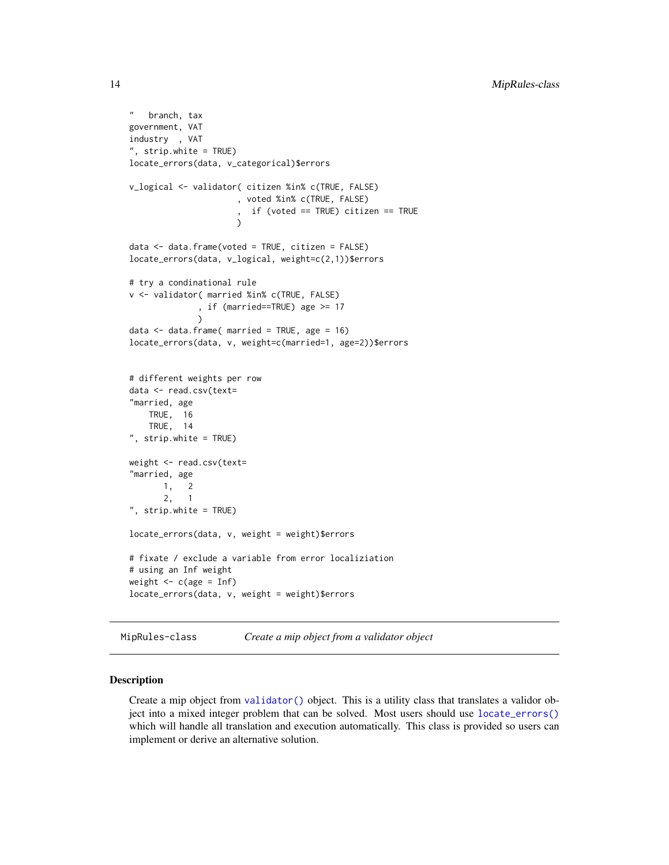```
" branch, tax
government, VAT
industry , VAT
", strip.white = TRUE)
locate_errors(data, v_categorical)$errors
v_logical <- validator( citizen %in% c(TRUE, FALSE)
                      , voted %in% c(TRUE, FALSE)
                      , if (voted == TRUE) citizen == TRUE
                      \lambdadata <- data.frame(voted = TRUE, citizen = FALSE)
locate_errors(data, v_logical, weight=c(2,1))$errors
# try a condinational rule
v <- validator( married %in% c(TRUE, FALSE)
              , if (married==TRUE) age >= 17
              )
data <- data.frame( married = TRUE, age = 16)
locate_errors(data, v, weight=c(married=1, age=2))$errors
# different weights per row
data <- read.csv(text=
"married, age
   TRUE, 16
   TRUE, 14
", strip.white = TRUE)
weight <- read.csv(text=
"married, age
      1, 2
      2, 1
", strip.white = TRUE)
locate_errors(data, v, weight = weight)$errors
# fixate / exclude a variable from error localiziation
# using an Inf weight
weight \leq c(age = Inf)
locate_errors(data, v, weight = weight)$errors
```
<span id="page-13-1"></span>MipRules-class *Create a mip object from a validator object*

#### Description

Create a mip object from [validator\(\)](#page-0-0) object. This is a utility class that translates a validor object into a mixed integer problem that can be solved. Most users should use [locate\\_errors\(\)](#page-10-1) which will handle all translation and execution automatically. This class is provided so users can implement or derive an alternative solution.

<span id="page-13-0"></span>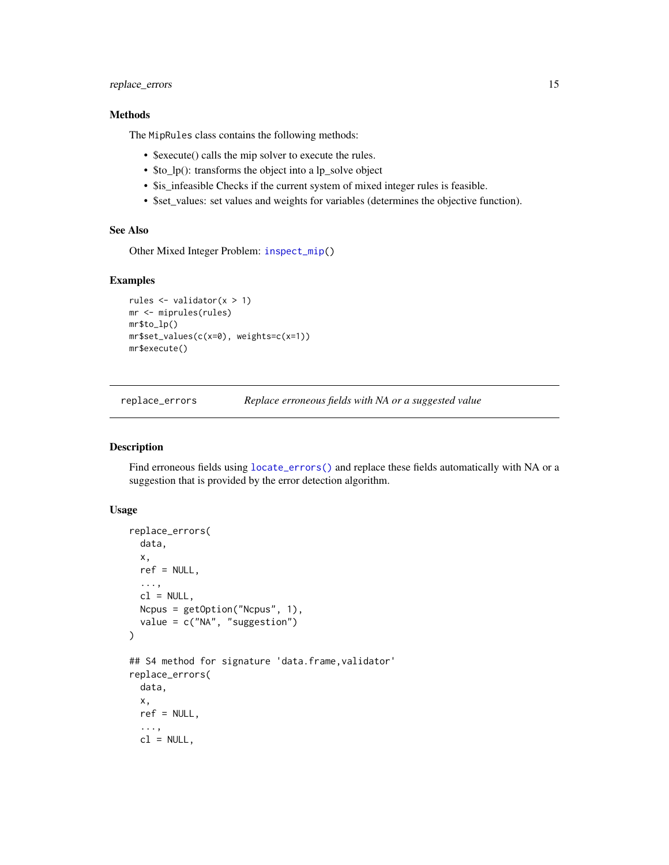## <span id="page-14-0"></span>replace\_errors 15

## Methods

The MipRules class contains the following methods:

- \$execute() calls the mip solver to execute the rules.
- \$to\_lp(): transforms the object into a lp\_solve object
- \$is\_infeasible Checks if the current system of mixed integer rules is feasible.
- \$set\_values: set values and weights for variables (determines the objective function).

#### See Also

Other Mixed Integer Problem: [inspect\\_mip\(](#page-7-1))

#### Examples

```
rules <- validator(x > 1)
mr <- miprules(rules)
mr$to_lp()
mr$set_values(c(x=0), weights=c(x=1))
mr$execute()
```
<span id="page-14-1"></span>replace\_errors *Replace erroneous fields with NA or a suggested value*

#### Description

Find erroneous fields using [locate\\_errors\(\)](#page-10-1) and replace these fields automatically with NA or a suggestion that is provided by the error detection algorithm.

## Usage

```
replace_errors(
  data,
  x,
  ref = NULL,...,
 cl = NULL,Ncpus = getOption("Ncpus", 1),
  value = c("NA", "suggestion")
)
## S4 method for signature 'data.frame, validator'
replace_errors(
  data,
  x,
  ref = NULL,
  ...,
 cl = NULL,
```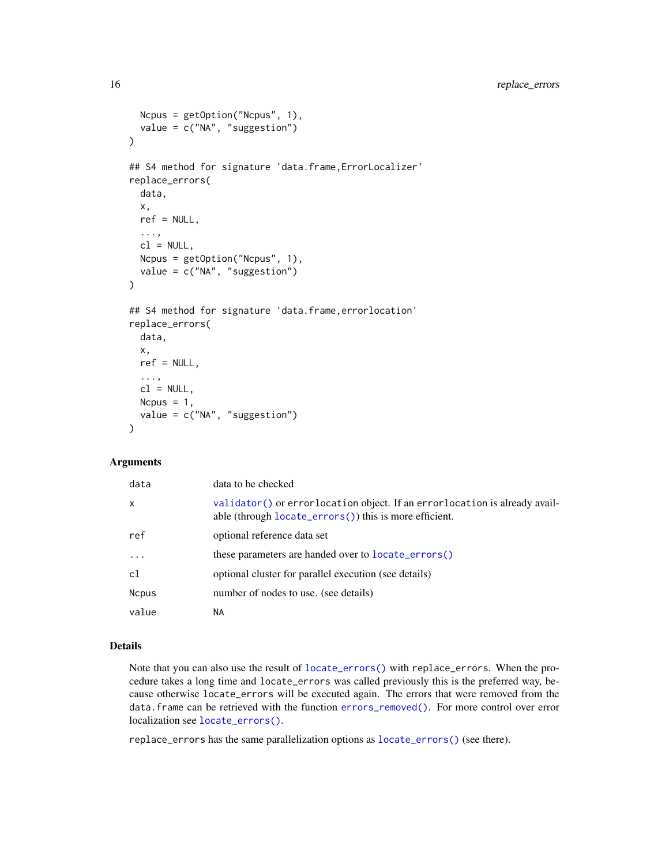```
Ncpus = getOption("Ncpus", 1),
 value = c("NA", "suggestion")
)
## S4 method for signature 'data.frame,ErrorLocalizer'
replace_errors(
 data,
 x,
 ref = NULL,...,
 cl = NULL,Ncpus = getOption("Ncpus", 1),
 value = c("NA", "suggestion")
)
## S4 method for signature 'data.frame,errorlocation'
replace_errors(
 data,
 x,
  ref = NULL,...,
 cl = NULL,Ncpus = 1,
  value = c("NA", "suggestion")
)
```
## Arguments

| data         | data to be checked                                                                                                                    |
|--------------|---------------------------------------------------------------------------------------------------------------------------------------|
| $\mathsf{x}$ | validator () or errorlocation object. If an errorlocation is already avail-<br>able (through locate_errors()) this is more efficient. |
| ref          | optional reference data set                                                                                                           |
| $\cdots$     | these parameters are handed over to <b>locate_errors()</b>                                                                            |
| c1           | optional cluster for parallel execution (see details)                                                                                 |
| <b>Ncpus</b> | number of nodes to use. (see details)                                                                                                 |
| value        | NA.                                                                                                                                   |

#### Details

Note that you can also use the result of [locate\\_errors\(\)](#page-10-1) with replace\_errors. When the procedure takes a long time and locate\_errors was called previously this is the preferred way, because otherwise locate\_errors will be executed again. The errors that were removed from the data.frame can be retrieved with the function [errors\\_removed\(\)](#page-4-1). For more control over error localization see [locate\\_errors\(\)](#page-10-1).

replace\_errors has the same parallelization options as [locate\\_errors\(\)](#page-10-1) (see there).

<span id="page-15-0"></span>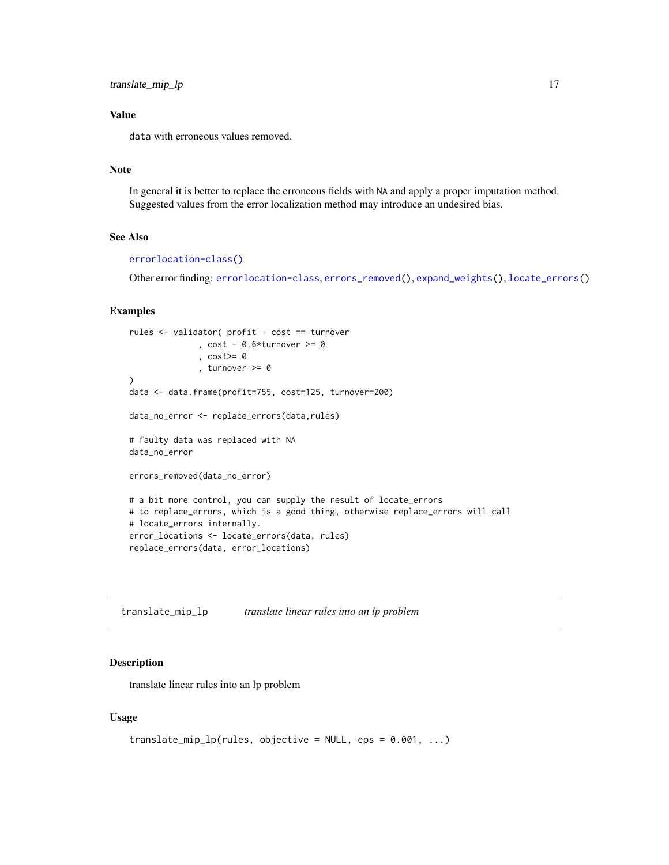<span id="page-16-0"></span>translate\_mip\_lp 17

## Value

data with erroneous values removed.

## Note

In general it is better to replace the erroneous fields with NA and apply a proper imputation method. Suggested values from the error localization method may introduce an undesired bias.

## See Also

#### [errorlocation-class\(\)](#page-3-1)

Other error finding: [errorlocation-class](#page-3-1), [errors\\_removed\(](#page-4-1)), [expand\\_weights\(](#page-5-1)), [locate\\_errors\(](#page-10-1))

## Examples

```
rules <- validator( profit + cost == turnover
              , cost - 0.6*turnover > = 0, cost>= 0
              , turnover >= 0
)
data <- data.frame(profit=755, cost=125, turnover=200)
data_no_error <- replace_errors(data,rules)
# faulty data was replaced with NA
data_no_error
errors_removed(data_no_error)
# a bit more control, you can supply the result of locate_errors
# to replace_errors, which is a good thing, otherwise replace_errors will call
# locate_errors internally.
error_locations <- locate_errors(data, rules)
replace_errors(data, error_locations)
```
translate\_mip\_lp *translate linear rules into an lp problem*

#### Description

translate linear rules into an lp problem

#### Usage

```
translate_mip_lp(rules, objective = NULL, eps = 0.001, ...)
```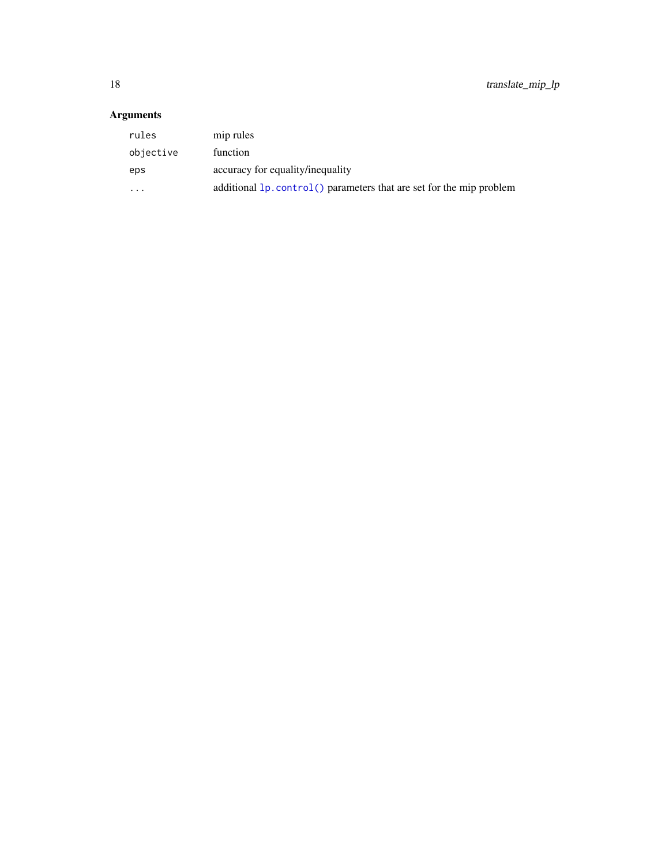## <span id="page-17-0"></span>Arguments

| rules     | mip rules                                                             |
|-----------|-----------------------------------------------------------------------|
| objective | function                                                              |
| eps       | accuracy for equality/inequality                                      |
| .         | additional $lp$ control() parameters that are set for the mip problem |